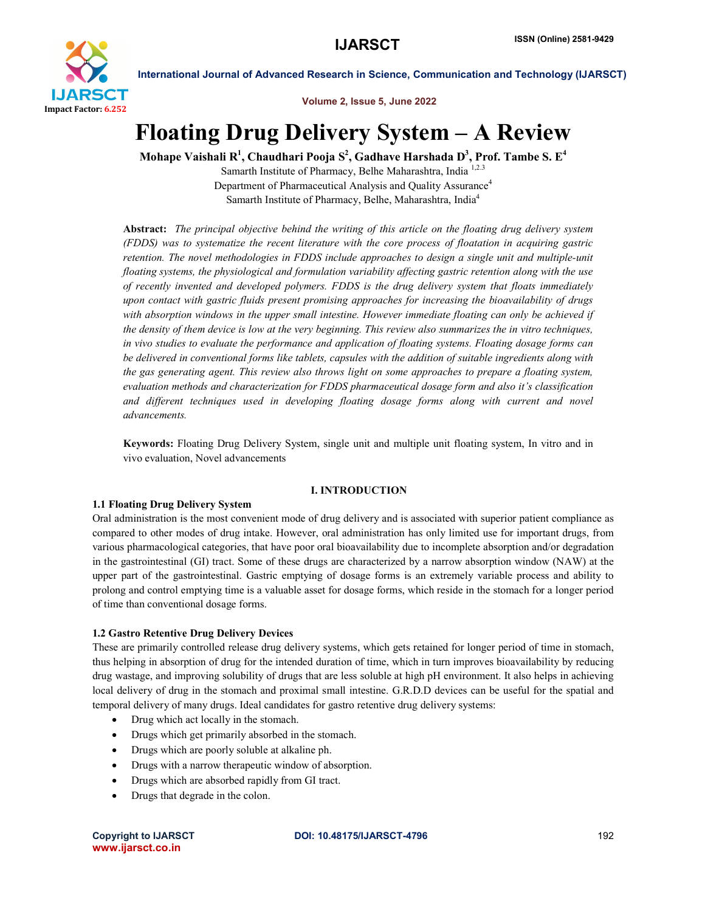

Volume 2, Issue 5, June 2022

# Floating Drug Delivery System – A Review

Mohape Vaishali R $^1$ , Chaudhari Pooja S $^2$ , Gadhave Harshada D $^3$ , Prof. Tambe S. E $^4$ 

Samarth Institute of Pharmacy, Belhe Maharashtra, India 1,2.3 Department of Pharmaceutical Analysis and Quality Assurance<sup>4</sup> Samarth Institute of Pharmacy, Belhe, Maharashtra, India4

Abstract: *The principal objective behind the writing of this article on the floating drug delivery system (FDDS) was to systematize the recent literature with the core process of floatation in acquiring gastric retention. The novel methodologies in FDDS include approaches to design a single unit and multiple-unit floating systems, the physiological and formulation variability affecting gastric retention along with the use of recently invented and developed polymers. FDDS is the drug delivery system that floats immediately upon contact with gastric fluids present promising approaches for increasing the bioavailability of drugs with absorption windows in the upper small intestine. However immediate floating can only be achieved if the density of them device is low at the very beginning. This review also summarizes the in vitro techniques, in vivo studies to evaluate the performance and application of floating systems. Floating dosage forms can be delivered in conventional forms like tablets, capsules with the addition of suitable ingredients along with the gas generating agent. This review also throws light on some approaches to prepare a floating system, evaluation methods and characterization for FDDS pharmaceutical dosage form and also it's classification and different techniques used in developing floating dosage forms along with current and novel advancements.*

Keywords: Floating Drug Delivery System, single unit and multiple unit floating system, In vitro and in vivo evaluation, Novel advancements

### I. INTRODUCTION

### 1.1 Floating Drug Delivery System

Oral administration is the most convenient mode of drug delivery and is associated with superior patient compliance as compared to other modes of drug intake. However, oral administration has only limited use for important drugs, from various pharmacological categories, that have poor oral bioavailability due to incomplete absorption and/or degradation in the gastrointestinal (GI) tract. Some of these drugs are characterized by a narrow absorption window (NAW) at the upper part of the gastrointestinal. Gastric emptying of dosage forms is an extremely variable process and ability to prolong and control emptying time is a valuable asset for dosage forms, which reside in the stomach for a longer period of time than conventional dosage forms.

### 1.2 Gastro Retentive Drug Delivery Devices

These are primarily controlled release drug delivery systems, which gets retained for longer period of time in stomach, thus helping in absorption of drug for the intended duration of time, which in turn improves bioavailability by reducing drug wastage, and improving solubility of drugs that are less soluble at high pH environment. It also helps in achieving local delivery of drug in the stomach and proximal small intestine. G.R.D.D devices can be useful for the spatial and temporal delivery of many drugs. Ideal candidates for gastro retentive drug delivery systems:

- Drug which act locally in the stomach.
- Drugs which get primarily absorbed in the stomach.
- Drugs which are poorly soluble at alkaline ph.
- Drugs with a narrow therapeutic window of absorption.
- Drugs which are absorbed rapidly from GI tract.
- Drugs that degrade in the colon.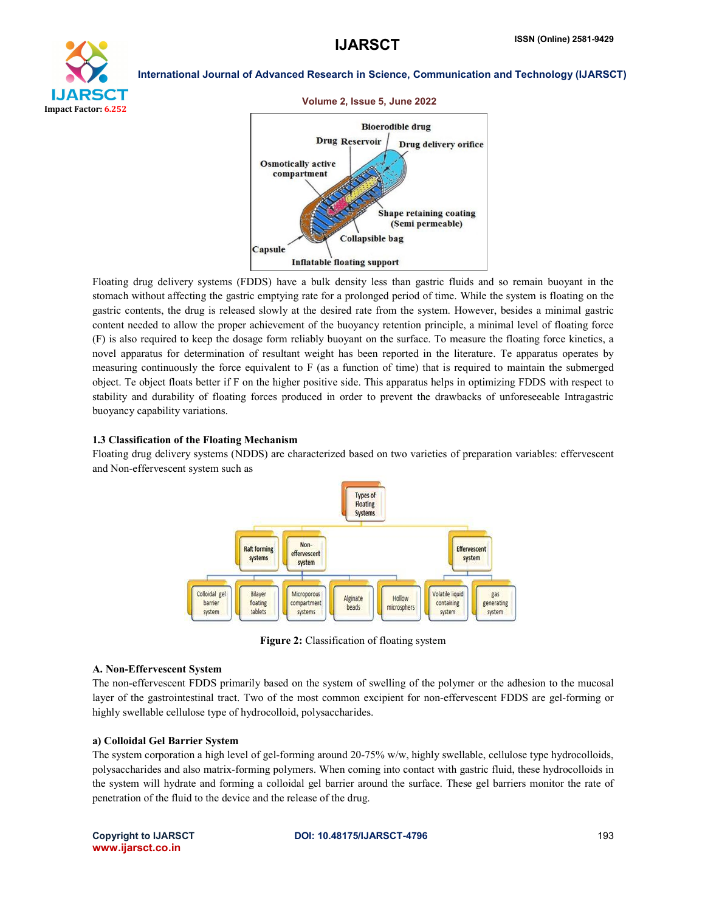



Floating drug delivery systems (FDDS) have a bulk density less than gastric fluids and so remain buoyant in the stomach without affecting the gastric emptying rate for a prolonged period of time. While the system is floating on the gastric contents, the drug is released slowly at the desired rate from the system. However, besides a minimal gastric content needed to allow the proper achievement of the buoyancy retention principle, a minimal level of floating force (F) is also required to keep the dosage form reliably buoyant on the surface. To measure the floating force kinetics, a novel apparatus for determination of resultant weight has been reported in the literature. Te apparatus operates by measuring continuously the force equivalent to F (as a function of time) that is required to maintain the submerged object. Te object floats better if F on the higher positive side. This apparatus helps in optimizing FDDS with respect to stability and durability of floating forces produced in order to prevent the drawbacks of unforeseeable Intragastric buoyancy capability variations.

#### 1.3 Classification of the Floating Mechanism

Floating drug delivery systems (NDDS) are characterized based on two varieties of preparation variables: effervescent and Non-effervescent system such as



Figure 2: Classification of floating system

#### A. Non-Effervescent System

The non-effervescent FDDS primarily based on the system of swelling of the polymer or the adhesion to the mucosal layer of the gastrointestinal tract. Two of the most common excipient for non-effervescent FDDS are gel-forming or highly swellable cellulose type of hydrocolloid, polysaccharides.

#### a) Colloidal Gel Barrier System

The system corporation a high level of gel-forming around 20-75% w/w, highly swellable, cellulose type hydrocolloids, polysaccharides and also matrix-forming polymers. When coming into contact with gastric fluid, these hydrocolloids in the system will hydrate and forming a colloidal gel barrier around the surface. These gel barriers monitor the rate of penetration of the fluid to the device and the release of the drug.

www.ijarsct.co.in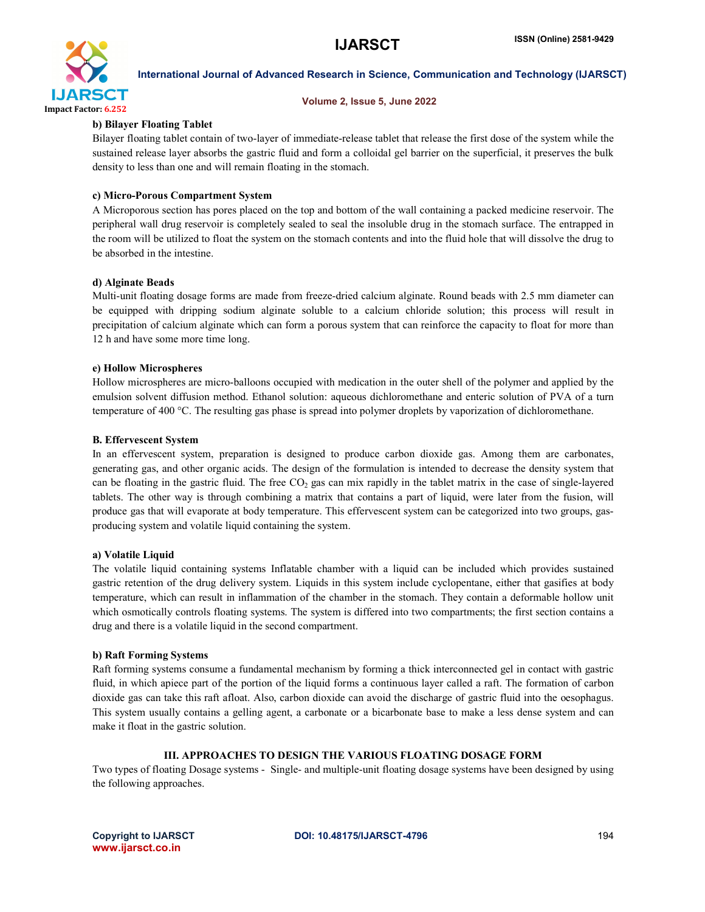

#### Volume 2, Issue 5, June 2022

#### b) Bilayer Floating Tablet

Bilayer floating tablet contain of two-layer of immediate-release tablet that release the first dose of the system while the sustained release layer absorbs the gastric fluid and form a colloidal gel barrier on the superficial, it preserves the bulk density to less than one and will remain floating in the stomach.

#### c) Micro-Porous Compartment System

A Microporous section has pores placed on the top and bottom of the wall containing a packed medicine reservoir. The peripheral wall drug reservoir is completely sealed to seal the insoluble drug in the stomach surface. The entrapped in the room will be utilized to float the system on the stomach contents and into the fluid hole that will dissolve the drug to be absorbed in the intestine.

#### d) Alginate Beads

Multi-unit floating dosage forms are made from freeze-dried calcium alginate. Round beads with 2.5 mm diameter can be equipped with dripping sodium alginate soluble to a calcium chloride solution; this process will result in precipitation of calcium alginate which can form a porous system that can reinforce the capacity to float for more than 12 h and have some more time long.

#### e) Hollow Microspheres

Hollow microspheres are micro-balloons occupied with medication in the outer shell of the polymer and applied by the emulsion solvent diffusion method. Ethanol solution: aqueous dichloromethane and enteric solution of PVA of a turn temperature of 400 °C. The resulting gas phase is spread into polymer droplets by vaporization of dichloromethane.

#### B. Effervescent System

In an effervescent system, preparation is designed to produce carbon dioxide gas. Among them are carbonates, generating gas, and other organic acids. The design of the formulation is intended to decrease the density system that can be floating in the gastric fluid. The free  $CO<sub>2</sub>$  gas can mix rapidly in the tablet matrix in the case of single-layered tablets. The other way is through combining a matrix that contains a part of liquid, were later from the fusion, will produce gas that will evaporate at body temperature. This effervescent system can be categorized into two groups, gasproducing system and volatile liquid containing the system.

#### a) Volatile Liquid

The volatile liquid containing systems Inflatable chamber with a liquid can be included which provides sustained gastric retention of the drug delivery system. Liquids in this system include cyclopentane, either that gasifies at body temperature, which can result in inflammation of the chamber in the stomach. They contain a deformable hollow unit which osmotically controls floating systems. The system is differed into two compartments; the first section contains a drug and there is a volatile liquid in the second compartment.

#### b) Raft Forming Systems

Raft forming systems consume a fundamental mechanism by forming a thick interconnected gel in contact with gastric fluid, in which apiece part of the portion of the liquid forms a continuous layer called a raft. The formation of carbon dioxide gas can take this raft afloat. Also, carbon dioxide can avoid the discharge of gastric fluid into the oesophagus. This system usually contains a gelling agent, a carbonate or a bicarbonate base to make a less dense system and can make it float in the gastric solution.

# III. APPROACHES TO DESIGN THE VARIOUS FLOATING DOSAGE FORM

Two types of floating Dosage systems - Single- and multiple-unit floating dosage systems have been designed by using the following approaches.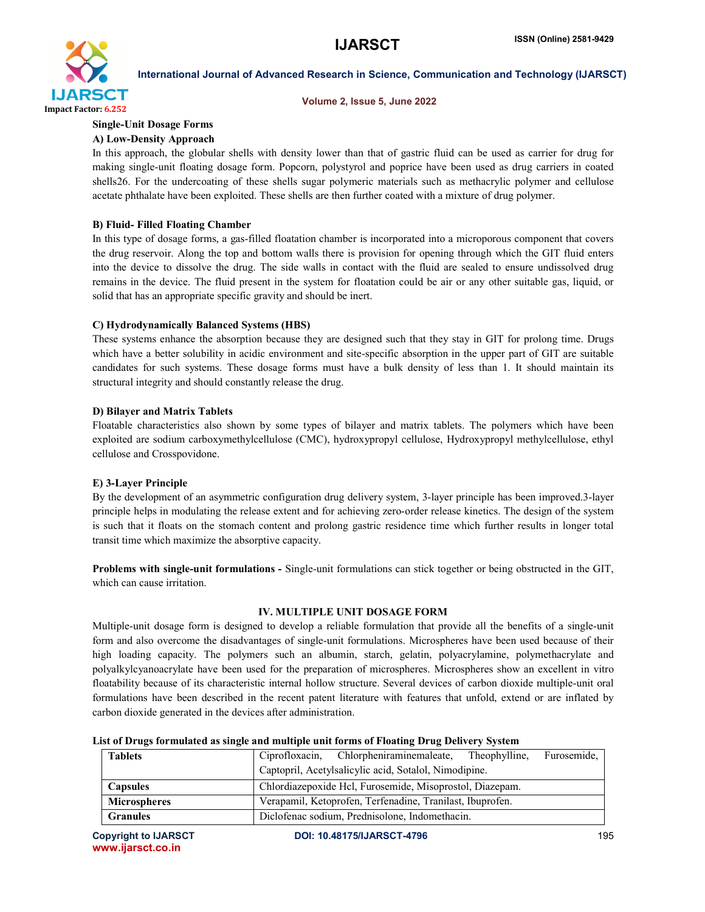

#### Volume 2, Issue 5, June 2022

# Single-Unit Dosage Forms

### A) Low-Density Approach

In this approach, the globular shells with density lower than that of gastric fluid can be used as carrier for drug for making single-unit floating dosage form. Popcorn, polystyrol and poprice have been used as drug carriers in coated shells26. For the undercoating of these shells sugar polymeric materials such as methacrylic polymer and cellulose acetate phthalate have been exploited. These shells are then further coated with a mixture of drug polymer.

#### B) Fluid- Filled Floating Chamber

In this type of dosage forms, a gas-filled floatation chamber is incorporated into a microporous component that covers the drug reservoir. Along the top and bottom walls there is provision for opening through which the GIT fluid enters into the device to dissolve the drug. The side walls in contact with the fluid are sealed to ensure undissolved drug remains in the device. The fluid present in the system for floatation could be air or any other suitable gas, liquid, or solid that has an appropriate specific gravity and should be inert.

### C) Hydrodynamically Balanced Systems (HBS)

These systems enhance the absorption because they are designed such that they stay in GIT for prolong time. Drugs which have a better solubility in acidic environment and site-specific absorption in the upper part of GIT are suitable candidates for such systems. These dosage forms must have a bulk density of less than 1. It should maintain its structural integrity and should constantly release the drug.

#### D) Bilayer and Matrix Tablets

Floatable characteristics also shown by some types of bilayer and matrix tablets. The polymers which have been exploited are sodium carboxymethylcellulose (CMC), hydroxypropyl cellulose, Hydroxypropyl methylcellulose, ethyl cellulose and Crosspovidone.

#### E) 3-Layer Principle

By the development of an asymmetric configuration drug delivery system, 3-layer principle has been improved.3-layer principle helps in modulating the release extent and for achieving zero-order release kinetics. The design of the system is such that it floats on the stomach content and prolong gastric residence time which further results in longer total transit time which maximize the absorptive capacity.

Problems with single-unit formulations - Single-unit formulations can stick together or being obstructed in the GIT, which can cause irritation.

### IV. MULTIPLE UNIT DOSAGE FORM

Multiple-unit dosage form is designed to develop a reliable formulation that provide all the benefits of a single-unit form and also overcome the disadvantages of single-unit formulations. Microspheres have been used because of their high loading capacity. The polymers such an albumin, starch, gelatin, polyacrylamine, polymethacrylate and polyalkylcyanoacrylate have been used for the preparation of microspheres. Microspheres show an excellent in vitro floatability because of its characteristic internal hollow structure. Several devices of carbon dioxide multiple-unit oral formulations have been described in the recent patent literature with features that unfold, extend or are inflated by carbon dioxide generated in the devices after administration.

| <b>Tablets</b>      |                                                          | Ciprofloxacin, Chlorpheniraminemaleate,                   | Theophylline. | Furosemide. |
|---------------------|----------------------------------------------------------|-----------------------------------------------------------|---------------|-------------|
|                     | Captopril, Acetylsalicylic acid, Sotalol, Nimodipine.    |                                                           |               |             |
| <b>Capsules</b>     | Chlordiazepoxide Hcl, Furosemide, Misoprostol, Diazepam. |                                                           |               |             |
| <b>Microspheres</b> |                                                          | Verapamil, Ketoprofen, Terfenadine, Tranilast, Ibuprofen. |               |             |
| <b>Granules</b>     |                                                          | Diclofenac sodium, Prednisolone, Indomethacin.            |               |             |

#### List of Drugs formulated as single and multiple unit forms of Floating Drug Delivery System

www.ijarsct.co.in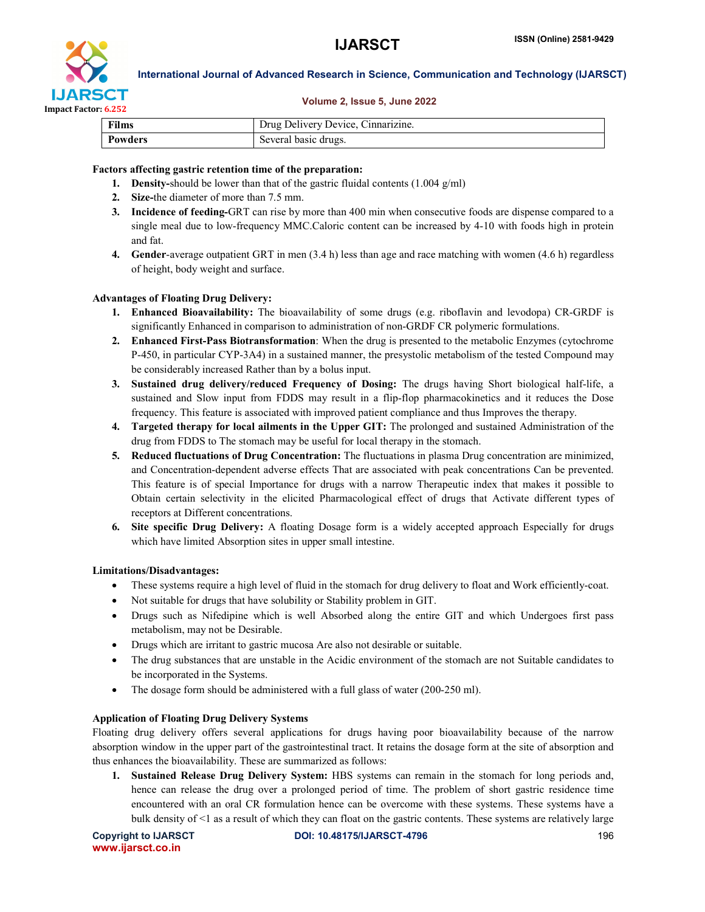



#### Volume 2, Issue 5, June 2022

| <b>Films</b>   | Drug Delivery Device, Cinnarizine. |  |
|----------------|------------------------------------|--|
| <b>Powders</b> | Several basic drugs.               |  |

#### Factors affecting gastric retention time of the preparation:

- 1. Density-should be lower than that of the gastric fluidal contents  $(1.004 \text{ g/ml})$
- 2. Size-the diameter of more than 7.5 mm.
- 3. Incidence of feeding-GRT can rise by more than 400 min when consecutive foods are dispense compared to a single meal due to low-frequency MMC.Caloric content can be increased by 4-10 with foods high in protein and fat.
- 4. Gender-average outpatient GRT in men (3.4 h) less than age and race matching with women (4.6 h) regardless of height, body weight and surface.

#### Advantages of Floating Drug Delivery:

- 1. Enhanced Bioavailability: The bioavailability of some drugs (e.g. riboflavin and levodopa) CR-GRDF is significantly Enhanced in comparison to administration of non-GRDF CR polymeric formulations.
- 2. Enhanced First-Pass Biotransformation: When the drug is presented to the metabolic Enzymes (cytochrome P-450, in particular CYP-3A4) in a sustained manner, the presystolic metabolism of the tested Compound may be considerably increased Rather than by a bolus input.
- 3. Sustained drug delivery/reduced Frequency of Dosing: The drugs having Short biological half-life, a sustained and Slow input from FDDS may result in a flip-flop pharmacokinetics and it reduces the Dose frequency. This feature is associated with improved patient compliance and thus Improves the therapy.
- 4. Targeted therapy for local ailments in the Upper GIT: The prolonged and sustained Administration of the drug from FDDS to The stomach may be useful for local therapy in the stomach.
- 5. Reduced fluctuations of Drug Concentration: The fluctuations in plasma Drug concentration are minimized, and Concentration-dependent adverse effects That are associated with peak concentrations Can be prevented. This feature is of special Importance for drugs with a narrow Therapeutic index that makes it possible to Obtain certain selectivity in the elicited Pharmacological effect of drugs that Activate different types of receptors at Different concentrations.
- 6. Site specific Drug Delivery: A floating Dosage form is a widely accepted approach Especially for drugs which have limited Absorption sites in upper small intestine.

#### Limitations/Disadvantages:

- These systems require a high level of fluid in the stomach for drug delivery to float and Work efficiently-coat.
- Not suitable for drugs that have solubility or Stability problem in GIT.
- Drugs such as Nifedipine which is well Absorbed along the entire GIT and which Undergoes first pass metabolism, may not be Desirable.
- Drugs which are irritant to gastric mucosa Are also not desirable or suitable.
- The drug substances that are unstable in the Acidic environment of the stomach are not Suitable candidates to be incorporated in the Systems.
- The dosage form should be administered with a full glass of water (200-250 ml).

#### Application of Floating Drug Delivery Systems

Floating drug delivery offers several applications for drugs having poor bioavailability because of the narrow absorption window in the upper part of the gastrointestinal tract. It retains the dosage form at the site of absorption and thus enhances the bioavailability. These are summarized as follows:

1. Sustained Release Drug Delivery System: HBS systems can remain in the stomach for long periods and, hence can release the drug over a prolonged period of time. The problem of short gastric residence time encountered with an oral CR formulation hence can be overcome with these systems. These systems have a bulk density of <1 as a result of which they can float on the gastric contents. These systems are relatively large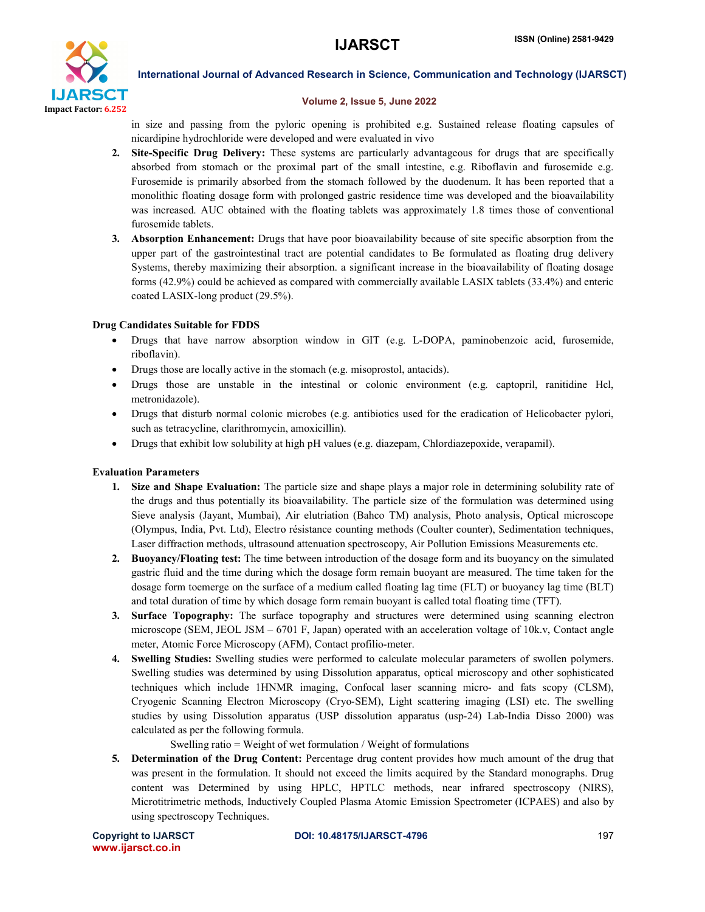

#### Volume 2, Issue 5, June 2022

in size and passing from the pyloric opening is prohibited e.g. Sustained release floating capsules of nicardipine hydrochloride were developed and were evaluated in vivo

- 2. Site-Specific Drug Delivery: These systems are particularly advantageous for drugs that are specifically absorbed from stomach or the proximal part of the small intestine, e.g. Riboflavin and furosemide e.g. Furosemide is primarily absorbed from the stomach followed by the duodenum. It has been reported that a monolithic floating dosage form with prolonged gastric residence time was developed and the bioavailability was increased. AUC obtained with the floating tablets was approximately 1.8 times those of conventional furosemide tablets.
- 3. Absorption Enhancement: Drugs that have poor bioavailability because of site specific absorption from the upper part of the gastrointestinal tract are potential candidates to Be formulated as floating drug delivery Systems, thereby maximizing their absorption. a significant increase in the bioavailability of floating dosage forms (42.9%) could be achieved as compared with commercially available LASIX tablets (33.4%) and enteric coated LASIX-long product (29.5%).

# Drug Candidates Suitable for FDDS

- Drugs that have narrow absorption window in GIT (e.g. L-DOPA, paminobenzoic acid, furosemide, riboflavin).
- Drugs those are locally active in the stomach (e.g. misoprostol, antacids).
- Drugs those are unstable in the intestinal or colonic environment (e.g. captopril, ranitidine Hcl, metronidazole).
- Drugs that disturb normal colonic microbes (e.g. antibiotics used for the eradication of Helicobacter pylori, such as tetracycline, clarithromycin, amoxicillin).
- Drugs that exhibit low solubility at high pH values (e.g. diazepam, Chlordiazepoxide, verapamil).

# Evaluation Parameters

- 1. Size and Shape Evaluation: The particle size and shape plays a major role in determining solubility rate of the drugs and thus potentially its bioavailability. The particle size of the formulation was determined using Sieve analysis (Jayant, Mumbai), Air elutriation (Bahco TM) analysis, Photo analysis, Optical microscope (Olympus, India, Pvt. Ltd), Electro résistance counting methods (Coulter counter), Sedimentation techniques, Laser diffraction methods, ultrasound attenuation spectroscopy, Air Pollution Emissions Measurements etc.
- 2. Buoyancy/Floating test: The time between introduction of the dosage form and its buoyancy on the simulated gastric fluid and the time during which the dosage form remain buoyant are measured. The time taken for the dosage form toemerge on the surface of a medium called floating lag time (FLT) or buoyancy lag time (BLT) and total duration of time by which dosage form remain buoyant is called total floating time (TFT).
- 3. Surface Topography: The surface topography and structures were determined using scanning electron microscope (SEM, JEOL JSM – 6701 F, Japan) operated with an acceleration voltage of 10k.v, Contact angle meter, Atomic Force Microscopy (AFM), Contact profilio-meter.
- 4. Swelling Studies: Swelling studies were performed to calculate molecular parameters of swollen polymers. Swelling studies was determined by using Dissolution apparatus, optical microscopy and other sophisticated techniques which include 1HNMR imaging, Confocal laser scanning micro- and fats scopy (CLSM), Cryogenic Scanning Electron Microscopy (Cryo-SEM), Light scattering imaging (LSI) etc. The swelling studies by using Dissolution apparatus (USP dissolution apparatus (usp-24) Lab-India Disso 2000) was calculated as per the following formula.

Swelling ratio = Weight of wet formulation / Weight of formulations

5. Determination of the Drug Content: Percentage drug content provides how much amount of the drug that was present in the formulation. It should not exceed the limits acquired by the Standard monographs. Drug content was Determined by using HPLC, HPTLC methods, near infrared spectroscopy (NIRS), Microtitrimetric methods, Inductively Coupled Plasma Atomic Emission Spectrometer (ICPAES) and also by using spectroscopy Techniques.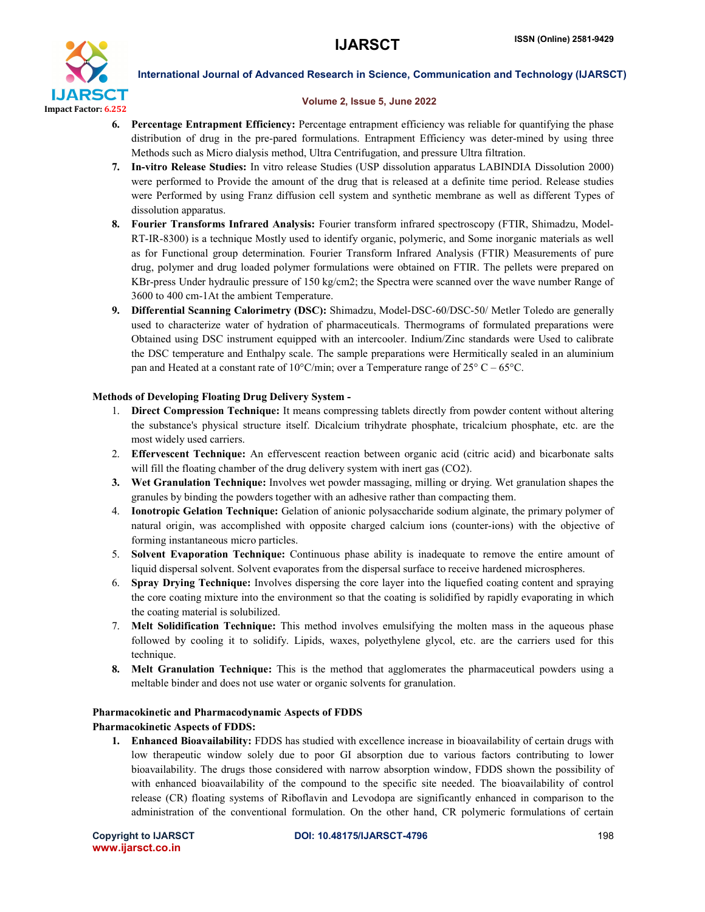

#### Volume 2, Issue 5, June 2022

- 6. Percentage Entrapment Efficiency: Percentage entrapment efficiency was reliable for quantifying the phase distribution of drug in the pre-pared formulations. Entrapment Efficiency was deter-mined by using three Methods such as Micro dialysis method, Ultra Centrifugation, and pressure Ultra filtration.
- 7. In-vitro Release Studies: In vitro release Studies (USP dissolution apparatus LABINDIA Dissolution 2000) were performed to Provide the amount of the drug that is released at a definite time period. Release studies were Performed by using Franz diffusion cell system and synthetic membrane as well as different Types of dissolution apparatus.
- 8. Fourier Transforms Infrared Analysis: Fourier transform infrared spectroscopy (FTIR, Shimadzu, Model-RT-IR-8300) is a technique Mostly used to identify organic, polymeric, and Some inorganic materials as well as for Functional group determination. Fourier Transform Infrared Analysis (FTIR) Measurements of pure drug, polymer and drug loaded polymer formulations were obtained on FTIR. The pellets were prepared on KBr-press Under hydraulic pressure of 150 kg/cm2; the Spectra were scanned over the wave number Range of 3600 to 400 cm-1At the ambient Temperature.
- 9. Differential Scanning Calorimetry (DSC): Shimadzu, Model-DSC-60/DSC-50/ Metler Toledo are generally used to characterize water of hydration of pharmaceuticals. Thermograms of formulated preparations were Obtained using DSC instrument equipped with an intercooler. Indium/Zinc standards were Used to calibrate the DSC temperature and Enthalpy scale. The sample preparations were Hermitically sealed in an aluminium pan and Heated at a constant rate of 10°C/min; over a Temperature range of  $25^{\circ}$  C –  $65^{\circ}$ C.

# Methods of Developing Floating Drug Delivery System -

- 1. Direct Compression Technique: It means compressing tablets directly from powder content without altering the substance's physical structure itself. Dicalcium trihydrate phosphate, tricalcium phosphate, etc. are the most widely used carriers.
- 2. Effervescent Technique: An effervescent reaction between organic acid (citric acid) and bicarbonate salts will fill the floating chamber of the drug delivery system with inert gas (CO2).
- 3. Wet Granulation Technique: Involves wet powder massaging, milling or drying. Wet granulation shapes the granules by binding the powders together with an adhesive rather than compacting them.
- 4. Ionotropic Gelation Technique: Gelation of anionic polysaccharide sodium alginate, the primary polymer of natural origin, was accomplished with opposite charged calcium ions (counter-ions) with the objective of forming instantaneous micro particles.
- 5. Solvent Evaporation Technique: Continuous phase ability is inadequate to remove the entire amount of liquid dispersal solvent. Solvent evaporates from the dispersal surface to receive hardened microspheres.
- 6. Spray Drying Technique: Involves dispersing the core layer into the liquefied coating content and spraying the core coating mixture into the environment so that the coating is solidified by rapidly evaporating in which the coating material is solubilized.
- 7. Melt Solidification Technique: This method involves emulsifying the molten mass in the aqueous phase followed by cooling it to solidify. Lipids, waxes, polyethylene glycol, etc. are the carriers used for this technique.
- 8. Melt Granulation Technique: This is the method that agglomerates the pharmaceutical powders using a meltable binder and does not use water or organic solvents for granulation.

# Pharmacokinetic and Pharmacodynamic Aspects of FDDS

# Pharmacokinetic Aspects of FDDS:

1. Enhanced Bioavailability: FDDS has studied with excellence increase in bioavailability of certain drugs with low therapeutic window solely due to poor GI absorption due to various factors contributing to lower bioavailability. The drugs those considered with narrow absorption window, FDDS shown the possibility of with enhanced bioavailability of the compound to the specific site needed. The bioavailability of control release (CR) floating systems of Riboflavin and Levodopa are significantly enhanced in comparison to the administration of the conventional formulation. On the other hand, CR polymeric formulations of certain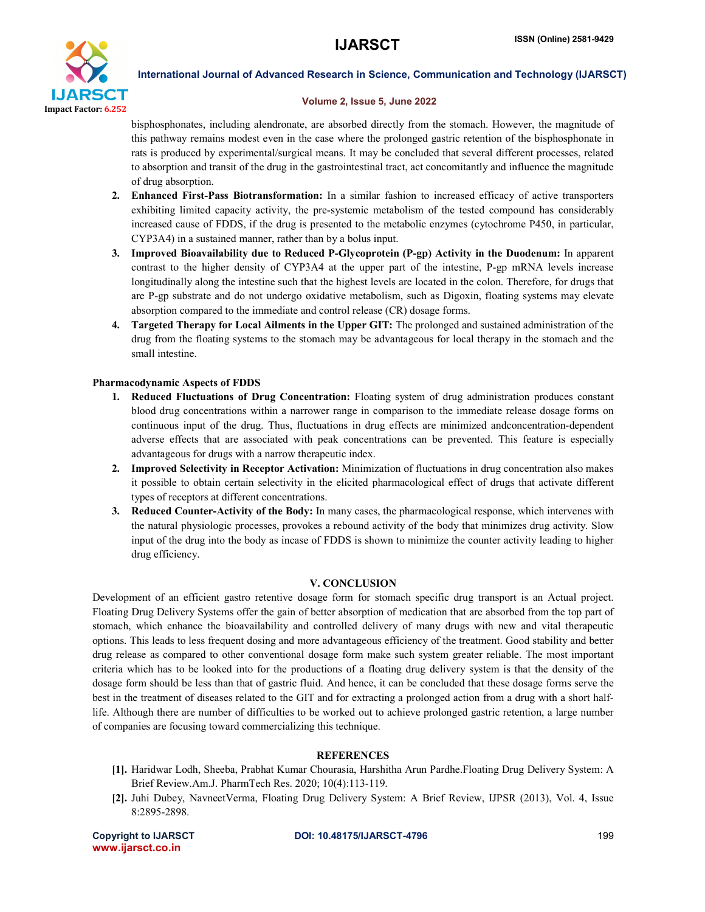

#### Volume 2, Issue 5, June 2022

bisphosphonates, including alendronate, are absorbed directly from the stomach. However, the magnitude of this pathway remains modest even in the case where the prolonged gastric retention of the bisphosphonate in rats is produced by experimental/surgical means. It may be concluded that several different processes, related to absorption and transit of the drug in the gastrointestinal tract, act concomitantly and influence the magnitude of drug absorption.

- 2. Enhanced First-Pass Biotransformation: In a similar fashion to increased efficacy of active transporters exhibiting limited capacity activity, the pre-systemic metabolism of the tested compound has considerably increased cause of FDDS, if the drug is presented to the metabolic enzymes (cytochrome P450, in particular, CYP3A4) in a sustained manner, rather than by a bolus input.
- 3. Improved Bioavailability due to Reduced P-Glycoprotein (P-gp) Activity in the Duodenum: In apparent contrast to the higher density of CYP3A4 at the upper part of the intestine, P-gp mRNA levels increase longitudinally along the intestine such that the highest levels are located in the colon. Therefore, for drugs that are P-gp substrate and do not undergo oxidative metabolism, such as Digoxin, floating systems may elevate absorption compared to the immediate and control release (CR) dosage forms.
- 4. Targeted Therapy for Local Ailments in the Upper GIT: The prolonged and sustained administration of the drug from the floating systems to the stomach may be advantageous for local therapy in the stomach and the small intestine.

#### Pharmacodynamic Aspects of FDDS

- 1. Reduced Fluctuations of Drug Concentration: Floating system of drug administration produces constant blood drug concentrations within a narrower range in comparison to the immediate release dosage forms on continuous input of the drug. Thus, fluctuations in drug effects are minimized andconcentration-dependent adverse effects that are associated with peak concentrations can be prevented. This feature is especially advantageous for drugs with a narrow therapeutic index.
- 2. Improved Selectivity in Receptor Activation: Minimization of fluctuations in drug concentration also makes it possible to obtain certain selectivity in the elicited pharmacological effect of drugs that activate different types of receptors at different concentrations.
- 3. Reduced Counter-Activity of the Body: In many cases, the pharmacological response, which intervenes with the natural physiologic processes, provokes a rebound activity of the body that minimizes drug activity. Slow input of the drug into the body as incase of FDDS is shown to minimize the counter activity leading to higher drug efficiency.

#### V. CONCLUSION

Development of an efficient gastro retentive dosage form for stomach specific drug transport is an Actual project. Floating Drug Delivery Systems offer the gain of better absorption of medication that are absorbed from the top part of stomach, which enhance the bioavailability and controlled delivery of many drugs with new and vital therapeutic options. This leads to less frequent dosing and more advantageous efficiency of the treatment. Good stability and better drug release as compared to other conventional dosage form make such system greater reliable. The most important criteria which has to be looked into for the productions of a floating drug delivery system is that the density of the dosage form should be less than that of gastric fluid. And hence, it can be concluded that these dosage forms serve the best in the treatment of diseases related to the GIT and for extracting a prolonged action from a drug with a short halflife. Although there are number of difficulties to be worked out to achieve prolonged gastric retention, a large number of companies are focusing toward commercializing this technique.

#### **REFERENCES**

- [1]. Haridwar Lodh, Sheeba, Prabhat Kumar Chourasia, Harshitha Arun Pardhe.Floating Drug Delivery System: A Brief Review.Am.J. PharmTech Res. 2020; 10(4):113-119.
- [2]. Juhi Dubey, NavneetVerma, Floating Drug Delivery System: A Brief Review, IJPSR (2013), Vol. 4, Issue 8:2895-2898.

www.ijarsct.co.in